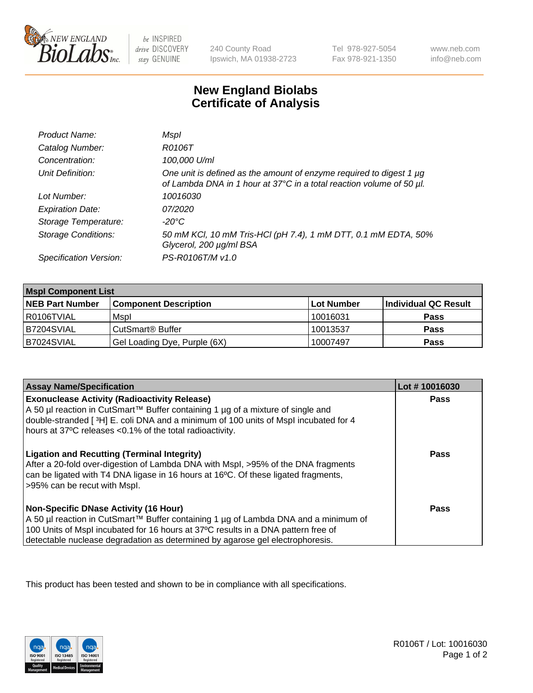

 $be$  INSPIRED drive DISCOVERY stay GENUINE

240 County Road Ipswich, MA 01938-2723 Tel 978-927-5054 Fax 978-921-1350

www.neb.com info@neb.com

## **New England Biolabs Certificate of Analysis**

| Product Name:              | Mspl                                                                                                                                             |
|----------------------------|--------------------------------------------------------------------------------------------------------------------------------------------------|
| Catalog Number:            | R0106T                                                                                                                                           |
| Concentration:             | 100,000 U/ml                                                                                                                                     |
| Unit Definition:           | One unit is defined as the amount of enzyme required to digest 1 $\mu$ g<br>of Lambda DNA in 1 hour at 37°C in a total reaction volume of 50 µl. |
| Lot Number:                | 10016030                                                                                                                                         |
| <b>Expiration Date:</b>    | 07/2020                                                                                                                                          |
| Storage Temperature:       | -20°C                                                                                                                                            |
| <b>Storage Conditions:</b> | 50 mM KCl, 10 mM Tris-HCl (pH 7.4), 1 mM DTT, 0.1 mM EDTA, 50%<br>Glycerol, 200 µg/ml BSA                                                        |
| Specification Version:     | PS-R0106T/M v1.0                                                                                                                                 |

| <b>Mspl Component List</b> |                              |            |                      |  |
|----------------------------|------------------------------|------------|----------------------|--|
| <b>NEB Part Number</b>     | <b>Component Description</b> | Lot Number | Individual QC Result |  |
| I R0106TVIAL               | Mspl                         | 10016031   | <b>Pass</b>          |  |
| B7204SVIAL                 | CutSmart <sup>®</sup> Buffer | 10013537   | <b>Pass</b>          |  |
| B7024SVIAL                 | Gel Loading Dye, Purple (6X) | 10007497   | <b>Pass</b>          |  |

| <b>Assay Name/Specification</b>                                                                                                                                                                                                                                                                             | Lot #10016030 |
|-------------------------------------------------------------------------------------------------------------------------------------------------------------------------------------------------------------------------------------------------------------------------------------------------------------|---------------|
| <b>Exonuclease Activity (Radioactivity Release)</b><br>  A 50 µl reaction in CutSmart™ Buffer containing 1 µg of a mixture of single and<br>double-stranded [3H] E. coli DNA and a minimum of 100 units of Mspl incubated for 4<br>hours at 37°C releases <0.1% of the total radioactivity.                 | Pass          |
| <b>Ligation and Recutting (Terminal Integrity)</b><br>After a 20-fold over-digestion of Lambda DNA with Mspl, >95% of the DNA fragments<br>can be ligated with T4 DNA ligase in 16 hours at 16 <sup>o</sup> C. Of these ligated fragments,<br>>95% can be recut with Mspl.                                  | Pass          |
| <b>Non-Specific DNase Activity (16 Hour)</b><br>  A 50 µl reaction in CutSmart™ Buffer containing 1 µg of Lambda DNA and a minimum of<br>100 Units of Mspl incubated for 16 hours at 37°C results in a DNA pattern free of<br>detectable nuclease degradation as determined by agarose gel electrophoresis. | Pass          |

This product has been tested and shown to be in compliance with all specifications.